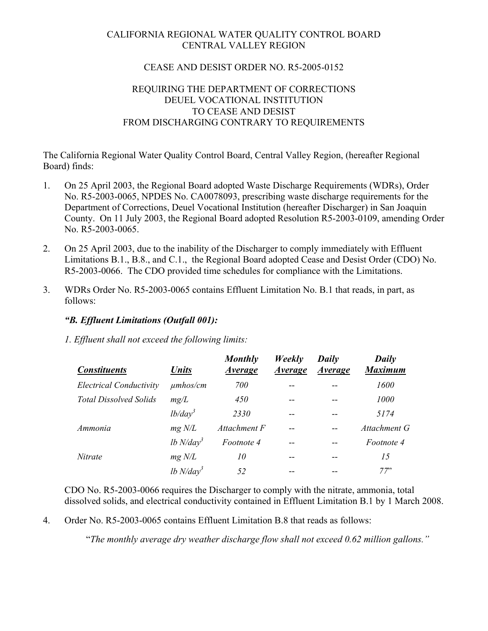## CALIFORNIA REGIONAL WATER QUALITY CONTROL BOARD CENTRAL VALLEY REGION

#### CEASE AND DESIST ORDER NO. R5-2005-0152

## REQUIRING THE DEPARTMENT OF CORRECTIONS DEUEL VOCATIONAL INSTITUTION TO CEASE AND DESIST FROM DISCHARGING CONTRARY TO REQUIREMENTS

The California Regional Water Quality Control Board, Central Valley Region, (hereafter Regional Board) finds:

- 1. On 25 April 2003, the Regional Board adopted Waste Discharge Requirements (WDRs), Order No. R5-2003-0065, NPDES No. CA0078093, prescribing waste discharge requirements for the Department of Corrections, Deuel Vocational Institution (hereafter Discharger) in San Joaquin County. On 11 July 2003, the Regional Board adopted Resolution R5-2003-0109, amending Order No. R5-2003-0065.
- 2. On 25 April 2003, due to the inability of the Discharger to comply immediately with Effluent Limitations B.1., B.8., and C.1., the Regional Board adopted Cease and Desist Order (CDO) No. R5-2003-0066. The CDO provided time schedules for compliance with the Limitations.
- 3. WDRs Order No. R5-2003-0065 contains Effluent Limitation No. B.1 that reads, in part, as follows:

## *"B. Effluent Limitations (Outfall 001):*

*1. Effluent shall not exceed the following limits:* 

| <b>Constituents</b>            | <b>Units</b>  | <b>Monthly</b><br><i>Average</i> | Weekly<br><i>Average</i> | Daily<br><i>Average</i> | Daily<br><b>Maximum</b> |
|--------------------------------|---------------|----------------------------------|--------------------------|-------------------------|-------------------------|
| <b>Electrical Conductivity</b> | $\mu$ mhos/cm | 700                              |                          |                         | 1600                    |
| <b>Total Dissolved Solids</b>  | mg/L          | 450                              | --                       |                         | <i>1000</i>             |
|                                | $lb/day^3$    | 2330                             | --                       |                         | 5174                    |
| Ammonia                        | mg N/L        | Attachment F                     |                          |                         | Attachment G            |
|                                | lb $N/day^3$  | Footnote 4                       | --                       |                         | <i>Footnote 4</i>       |
| <i>Nitrate</i>                 | mg N/L        | 10                               | --                       | --                      | 15                      |
|                                | lb $N/day^3$  | 52                               |                          |                         | 77                      |

CDO No. R5-2003-0066 requires the Discharger to comply with the nitrate, ammonia, total dissolved solids, and electrical conductivity contained in Effluent Limitation B.1 by 1 March 2008.

4. Order No. R5-2003-0065 contains Effluent Limitation B.8 that reads as follows:

"*The monthly average dry weather discharge flow shall not exceed 0.62 million gallons."*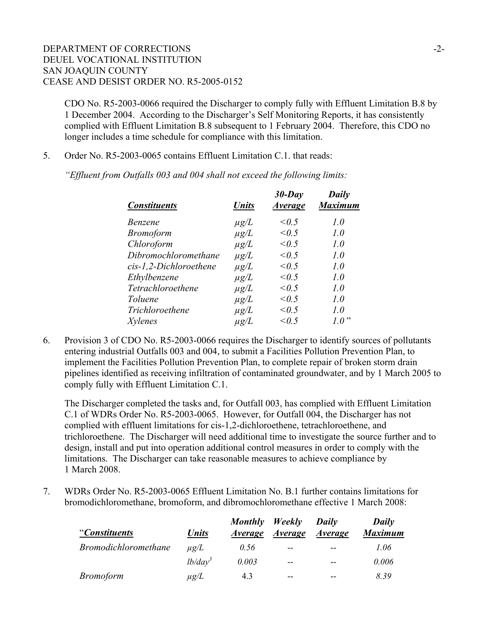#### DEPARTMENT OF CORRECTIONS -2- DEUEL VOCATIONAL INSTITUTION SAN JOAQUIN COUNTY CEASE AND DESIST ORDER NO. R5-2005-0152

CDO No. R5-2003-0066 required the Discharger to comply fully with Effluent Limitation B.8 by 1 December 2004. According to the Discharger's Self Monitoring Reports, it has consistently complied with Effluent Limitation B.8 subsequent to 1 February 2004. Therefore, this CDO no longer includes a time schedule for compliance with this limitation.

*30-Day* 

*Daily* 

5. Order No. R5-2003-0065 contains Effluent Limitation C.1. that reads:

| <b>Constituents</b>    | <b>Units</b> | 30-Day<br><i><b>Average</b></i> | Daily<br><b>Maximum</b> |
|------------------------|--------------|---------------------------------|-------------------------|
| Benzene                | $\mu$ g/L    | < 0.5                           | 1.0                     |
| <b>Bromoform</b>       | $\mu$ g/L    | < 0.5                           | 1.0                     |
| Chloroform             | $\mu$ g/L    | < 0.5                           | 1.0                     |
| Dibromochloromethane   | $\mu$ g/L    | < 0.5                           | 1.0                     |
| cis-1,2-Dichloroethene | $\mu$ g/L    | < 0.5                           | 1.0                     |
| Ethylbenzene           | $\mu$ g/L    | < 0.5                           | 1.0                     |
| Tetrachloroethene      | $\mu$ g/L    | < 0.5                           | 1.0                     |
| Toluene                | $\mu$ g/L    | < 0.5                           | 1.0                     |
| Trichloroethene        | $\mu$ g/L    | < 0.5                           | 1.0                     |
| Xylenes                | $\mu$ g/L    | < 0.5                           | $1.0$ "                 |

*"Effluent from Outfalls 003 and 004 shall not exceed the following limits:* 

6. Provision 3 of CDO No. R5-2003-0066 requires the Discharger to identify sources of pollutants entering industrial Outfalls 003 and 004, to submit a Facilities Pollution Prevention Plan, to implement the Facilities Pollution Prevention Plan, to complete repair of broken storm drain pipelines identified as receiving infiltration of contaminated groundwater, and by 1 March 2005 to comply fully with Effluent Limitation C.1.

The Discharger completed the tasks and, for Outfall 003, has complied with Effluent Limitation C.1 of WDRs Order No. R5-2003-0065. However, for Outfall 004, the Discharger has not complied with effluent limitations for cis-1,2-dichloroethene, tetrachloroethene, and trichloroethene. The Discharger will need additional time to investigate the source further and to design, install and put into operation additional control measures in order to comply with the limitations. The Discharger can take reasonable measures to achieve compliance by 1 March 2008.

7. WDRs Order No. R5-2003-0065 Effluent Limitation No. B.1 further contains limitations for bromodichloromethane, bromoform, and dibromochloromethane effective 1 March 2008:

| "Constituents"              | Units      | <b>Monthly</b><br>Average | Weekly<br><i>Average</i> | Daily<br><i>Average</i> | Daily<br><b>Maximum</b> |
|-----------------------------|------------|---------------------------|--------------------------|-------------------------|-------------------------|
| <b>Bromodichloromethane</b> | $\mu$ g/L  | 0.56                      | --                       | $- -$                   | 1.06                    |
|                             | $lb/day^3$ | 0.003                     | --                       | $- -$                   | 0.006                   |
| <b>Bromoform</b>            | $\mu$ g/L  | 4.3                       | $-$                      | --                      | 8.39                    |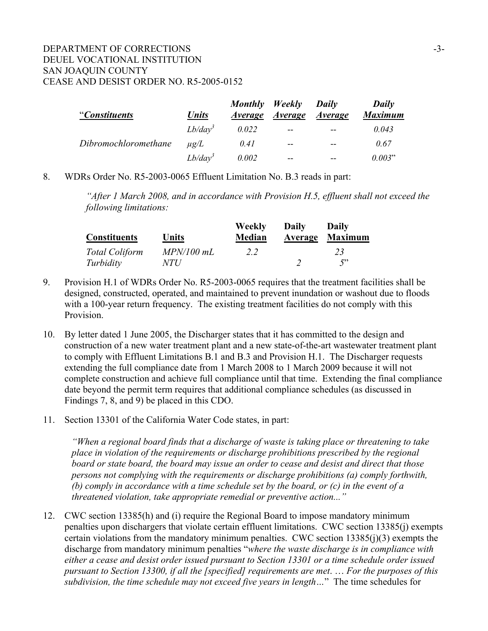| "Constituents"       | <b>Units</b> | <i>Average</i> | Monthly Weekly Daily<br><i>Average Average</i> |     | Daily<br><b>Maximum</b> |
|----------------------|--------------|----------------|------------------------------------------------|-----|-------------------------|
|                      | $Lb/day^3$   | 0.022          | $\overline{a}$                                 | $-$ | 0.043                   |
| Dibromochloromethane | $\mu$ g/L    | 0.41           | $-$                                            | $-$ | 0.67                    |
|                      | $Lb/day^3$   | 0.002          | $- -$                                          | --  | 0.003"                  |

8. WDRs Order No. R5-2003-0065 Effluent Limitation No. B.3 reads in part:

 *"After 1 March 2008, and in accordance with Provision H.5, effluent shall not exceed the following limitations:* 

| <b>Constituents</b>   | Units        | Weekly<br><b>Median</b> | <b>Daily</b> | Daily<br>Average Maximum |
|-----------------------|--------------|-------------------------|--------------|--------------------------|
| <b>Total Coliform</b> | $MPN/100$ mL | 2.2                     |              | 23                       |
| Turbidity             | NTU          |                         |              | 5                        |

- 9. Provision H.1 of WDRs Order No. R5-2003-0065 requires that the treatment facilities shall be designed, constructed, operated, and maintained to prevent inundation or washout due to floods with a 100-year return frequency. The existing treatment facilities do not comply with this Provision.
- 10. By letter dated 1 June 2005, the Discharger states that it has committed to the design and construction of a new water treatment plant and a new state-of-the-art wastewater treatment plant to comply with Effluent Limitations B.1 and B.3 and Provision H.1. The Discharger requests extending the full compliance date from 1 March 2008 to 1 March 2009 because it will not complete construction and achieve full compliance until that time. Extending the final compliance date beyond the permit term requires that additional compliance schedules (as discussed in Findings 7, 8, and 9) be placed in this CDO.
- 11. Section 13301 of the California Water Code states, in part:

*"When a regional board finds that a discharge of waste is taking place or threatening to take place in violation of the requirements or discharge prohibitions prescribed by the regional board or state board, the board may issue an order to cease and desist and direct that those persons not complying with the requirements or discharge prohibitions (a) comply forthwith, (b) comply in accordance with a time schedule set by the board, or (c) in the event of a threatened violation, take appropriate remedial or preventive action..."* 

12. CWC section 13385(h) and (i) require the Regional Board to impose mandatory minimum penalties upon dischargers that violate certain effluent limitations. CWC section 13385(j) exempts certain violations from the mandatory minimum penalties. CWC section 13385(j)(3) exempts the discharge from mandatory minimum penalties "*where the waste discharge is in compliance with either a cease and desist order issued pursuant to Section 13301 or a time schedule order issued pursuant to Section 13300, if all the [specified] requirements are met*. … *For the purposes of this subdivision, the time schedule may not exceed five years in length…*" The time schedules for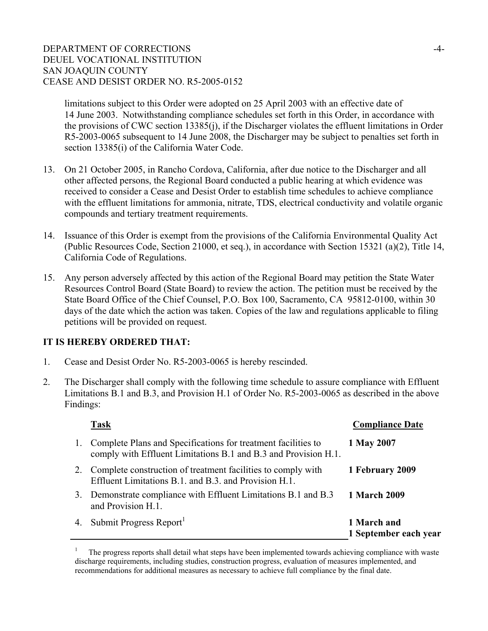#### DEPARTMENT OF CORRECTIONS -4- DEUEL VOCATIONAL INSTITUTION SAN JOAQUIN COUNTY CEASE AND DESIST ORDER NO. R5-2005-0152

limitations subject to this Order were adopted on 25 April 2003 with an effective date of 14 June 2003. Notwithstanding compliance schedules set forth in this Order, in accordance with the provisions of CWC section 13385(j), if the Discharger violates the effluent limitations in Order R5-2003-0065 subsequent to 14 June 2008, the Discharger may be subject to penalties set forth in section 13385(i) of the California Water Code.

- 13. On 21 October 2005, in Rancho Cordova, California, after due notice to the Discharger and all other affected persons, the Regional Board conducted a public hearing at which evidence was received to consider a Cease and Desist Order to establish time schedules to achieve compliance with the effluent limitations for ammonia, nitrate, TDS, electrical conductivity and volatile organic compounds and tertiary treatment requirements.
- 14. Issuance of this Order is exempt from the provisions of the California Environmental Quality Act (Public Resources Code, Section 21000, et seq.), in accordance with Section 15321 (a)(2), Title 14, California Code of Regulations.
- 15. Any person adversely affected by this action of the Regional Board may petition the State Water Resources Control Board (State Board) to review the action. The petition must be received by the State Board Office of the Chief Counsel, P.O. Box 100, Sacramento, CA 95812-0100, within 30 days of the date which the action was taken. Copies of the law and regulations applicable to filing petitions will be provided on request.

# **IT IS HEREBY ORDERED THAT:**

- 1. Cease and Desist Order No. R5-2003-0065 is hereby rescinded.
- 2. The Discharger shall comply with the following time schedule to assure compliance with Effluent Limitations B.1 and B.3, and Provision H.1 of Order No. R5-2003-0065 as described in the above Findings:

|                | <b>Task</b>                                                                                                                      | <b>Compliance Date</b>               |
|----------------|----------------------------------------------------------------------------------------------------------------------------------|--------------------------------------|
| $\mathbf{1}$ . | Complete Plans and Specifications for treatment facilities to<br>comply with Effluent Limitations B.1 and B.3 and Provision H.1. | 1 May 2007                           |
| 2.             | Complete construction of treatment facilities to comply with<br>Effluent Limitations B.1. and B.3. and Provision H.1.            | 1 February 2009                      |
| 3.             | Demonstrate compliance with Effluent Limitations B.1 and B.3<br>and Provision H.1.                                               | <b>1 March 2009</b>                  |
| 4.             | Submit Progress Report <sup>1</sup>                                                                                              | 1 March and<br>1 September each year |

<sup>1</sup> The progress reports shall detail what steps have been implemented towards achieving compliance with waste discharge requirements, including studies, construction progress, evaluation of measures implemented, and recommendations for additional measures as necessary to achieve full compliance by the final date.